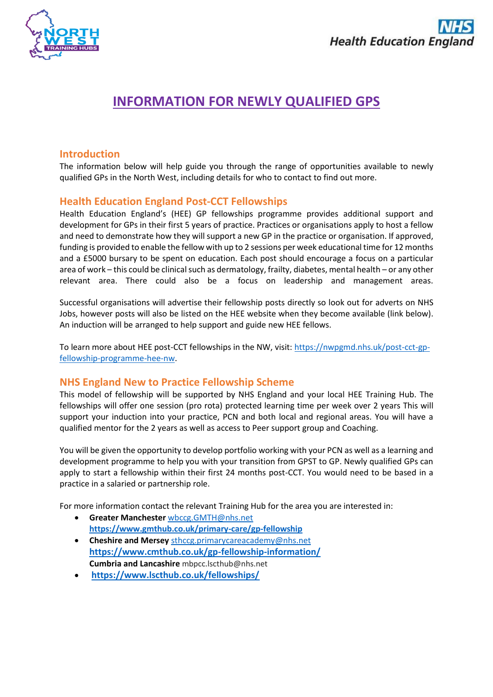

# **INFORMATION FOR NEWLY QUALIFIED GPS**

# **Introduction**

The information below will help guide you through the range of opportunities available to newly qualified GPs in the North West, including details for who to contact to find out more.

# **Health Education England Post-CCT Fellowships**

Health Education England's (HEE) GP fellowships programme provides additional support and development for GPs in their first 5 years of practice. Practices or organisations apply to host a fellow and need to demonstrate how they will support a new GP in the practice or organisation. If approved, funding is provided to enable the fellow with up to 2 sessions per week educational time for 12 months and a £5000 bursary to be spent on education. Each post should encourage a focus on a particular area of work – this could be clinical such as dermatology, frailty, diabetes, mental health – or any other relevant area. There could also be a focus on leadership and management areas.

Successful organisations will advertise their fellowship posts directly so look out for adverts on NHS Jobs, however posts will also be listed on the HEE website when they become available (link below). An induction will be arranged to help support and guide new HEE fellows.

To learn more about HEE post-CCT fellowships in the NW, visit: [https://nwpgmd.nhs.uk/post-cct-gp](https://nwpgmd.nhs.uk/post-cct-gp-fellowship-programme-hee-nw)[fellowship-programme-hee-nw.](https://nwpgmd.nhs.uk/post-cct-gp-fellowship-programme-hee-nw)

# **NHS England New to Practice Fellowship Scheme**

This model of fellowship will be supported by NHS England and your local HEE Training Hub. The fellowships will offer one session (pro rota) protected learning time per week over 2 years This will support your induction into your practice, PCN and both local and regional areas. You will have a qualified mentor for the 2 years as well as access to Peer support group and Coaching.

You will be given the opportunity to develop portfolio working with your PCN as well as a learning and development programme to help you with your transition from GPST to GP. Newly qualified GPs can apply to start a fellowship within their first 24 months post-CCT. You would need to be based in a practice in a salaried or partnership role.

For more information contact the relevant Training Hub for the area you are interested in:

- **Greater Manchester** [wbccg.GMTH@nhs.net](mailto:wbccg.GMTH@nhs.net)  **<https://www.gmthub.co.uk/primary-care/gp-fellowship>**
- **Cheshire and Mersey** [sthccg.primarycareacademy@nhs.net](mailto:sthccg.primarycareacademy@nhs.net)  **<https://www.cmthub.co.uk/gp-fellowship-information/> Cumbria and Lancashire** mbpcc.lscthub@nhs.net
- **<https://www.lscthub.co.uk/fellowships/>**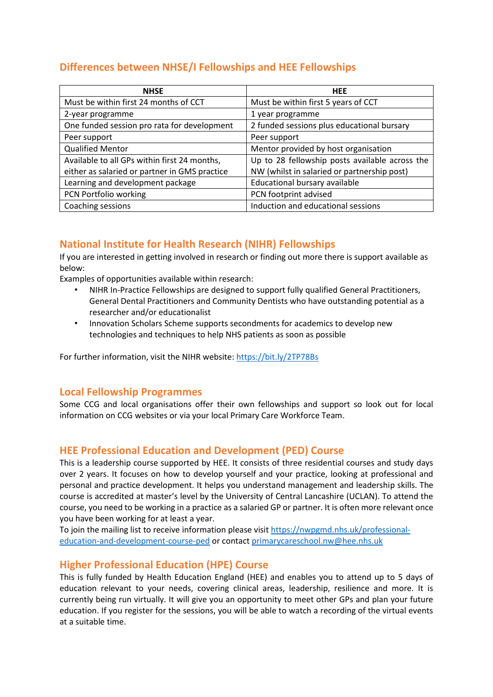# **Differences between NHSE/I Fellowships and HEE Fellowships**

| <b>NHSE</b>                                   | <b>HEE</b>                                     |
|-----------------------------------------------|------------------------------------------------|
| Must be within first 24 months of CCT         | Must be within first 5 years of CCT            |
| 2-year programme                              | 1 year programme                               |
| One funded session pro rata for development   | 2 funded sessions plus educational bursary     |
| Peer support                                  | Peer support                                   |
| <b>Qualified Mentor</b>                       | Mentor provided by host organisation           |
| Available to all GPs within first 24 months,  | Up to 28 fellowship posts available across the |
| either as salaried or partner in GMS practice | NW (whilst in salaried or partnership post)    |
| Learning and development package              | Educational bursary available                  |
| PCN Portfolio working                         | PCN footprint advised                          |
| Coaching sessions                             | Induction and educational sessions             |

# **National Institute for Health Research (NIHR) Fellowships**

If you are interested in getting involved in research or finding out more there is support available as below:

Examples of opportunities available within research:

- NIHR In-Practice Fellowships are designed to support fully qualified General Practitioners, General Dental Practitioners and Community Dentists who have outstanding potential as a researcher and/or educationalist
- Innovation Scholars Scheme supports secondments for academics to develop new technologies and techniques to help NHS patients as soon as possible

For further information, visit the NIHR website[: https://bit.ly/2TP78Bs](https://bit.ly/2TP78Bs)

# **Local Fellowship Programmes**

Some CCG and local organisations offer their own fellowships and support so look out for local information on CCG websites or via your local Primary Care Workforce Team.

# **HEE Professional Education and Development (PED) Course**

This is a leadership course supported by HEE. It consists of three residential courses and study days over 2 years. It focuses on how to develop yourself and your practice, looking at professional and personal and practice development. It helps you understand management and leadership skills. The course is accredited at master's level by the University of Central Lancashire (UCLAN). To attend the course, you need to be working in a practice as a salaried GP or partner. It is often more relevant once you have been working for at least a year.

To join the mailing list to receive information please visit [https://nwpgmd.nhs.uk/professional](https://nwpgmd.nhs.uk/professional-education-and-development-course-ped)[education-and-development-course-ped](https://nwpgmd.nhs.uk/professional-education-and-development-course-ped) or contact [primarycareschool.nw@hee.nhs.uk](mailto:primarycareschool.nw@hee.nhs.uk) 

# **Higher Professional Education (HPE) Course**

This is fully funded by Health Education England (HEE) and enables you to attend up to 5 days of education relevant to your needs, covering clinical areas, leadership, resilience and more. It is currently being run virtually. It will give you an opportunity to meet other GPs and plan your future education. If you register for the sessions, you will be able to watch a recording of the virtual events at a suitable time.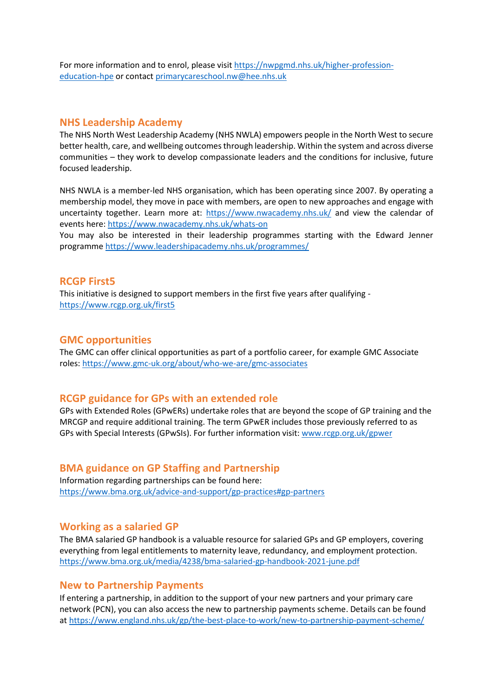For more information and to enrol, please visit [https://nwpgmd.nhs.uk/higher-profession](https://nwpgmd.nhs.uk/higher-profession-education-hpe)[education-hpe](https://nwpgmd.nhs.uk/higher-profession-education-hpe) or contact [primarycareschool.nw@hee.nhs.uk](mailto:primarycareschool.nw@hee.nhs.uk) 

#### **NHS Leadership Academy**

The NHS North West Leadership Academy (NHS NWLA) empowers people in the North West to secure better health, care, and wellbeing outcomes through leadership. Within the system and across diverse communities – they work to develop compassionate leaders and the conditions for inclusive, future focused leadership.

NHS NWLA is a member-led NHS organisation, which has been operating since 2007. By operating a membership model, they move in pace with members, are open to new approaches and engage with uncertainty together. Learn more at: <https://www.nwacademy.nhs.uk/> and view the calendar of events here:<https://www.nwacademy.nhs.uk/whats-on>

You may also be interested in their leadership programmes starting with the Edward Jenner programme<https://www.leadershipacademy.nhs.uk/programmes/>

#### **RCGP First5**

This initiative is designed to support members in the first five years after qualifying <https://www.rcgp.org.uk/first5>

### **GMC opportunities**

The GMC can offer clinical opportunities as part of a portfolio career, for example GMC Associate roles: <https://www.gmc-uk.org/about/who-we-are/gmc-associates>

### **RCGP guidance for GPs with an extended role**

GPs with Extended Roles (GPwERs) undertake roles that are beyond the scope of GP training and the MRCGP and require additional training. The term GPwER includes those previously referred to as GPs with Special Interests (GPwSIs). For further information visit: [www.rcgp.org.uk/gpwer](http://www.rcgp.org.uk/gpwer) 

### **BMA guidance on GP Staffing and Partnership**

Information regarding partnerships can be found here: <https://www.bma.org.uk/advice-and-support/gp-practices#gp-partners>

#### **Working as a salaried GP**

The BMA salaried GP handbook is a valuable resource for salaried GPs and GP employers, covering everything from legal entitlements to maternity leave, redundancy, and employment protection. <https://www.bma.org.uk/media/4238/bma-salaried-gp-handbook-2021-june.pdf>

#### **New to Partnership Payments**

If entering a partnership, in addition to the support of your new partners and your primary care network (PCN), you can also access the new to partnership payments scheme. Details can be found a[t https://www.england.nhs.uk/gp/the-best-place-to-work/new-to-partnership-payment-scheme/](https://www.england.nhs.uk/gp/the-best-place-to-work/new-to-partnership-payment-scheme/)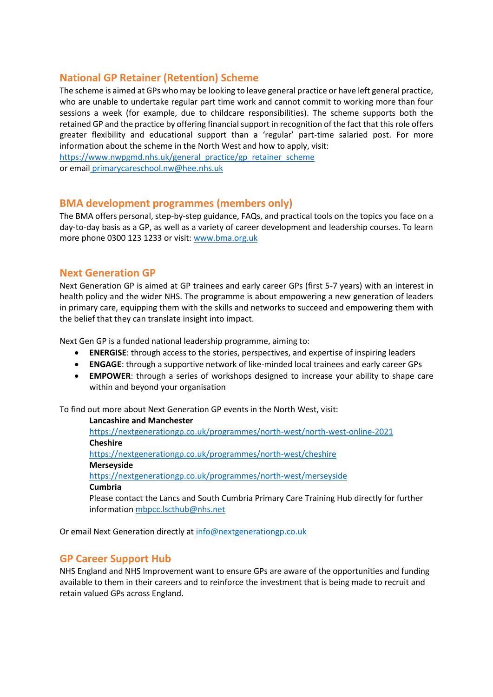# **National GP Retainer (Retention) Scheme**

The scheme is aimed at GPs who may be looking to leave general practice or have left general practice, who are unable to undertake regular part time work and cannot commit to working more than four sessions a week (for example, due to childcare responsibilities). The scheme supports both the retained GP and the practice by offering financial support in recognition of the fact that this role offers greater flexibility and educational support than a 'regular' part-time salaried post. For more information about the scheme in the North West and how to apply, visit: [https://www.nwpgmd.nhs.uk/general\\_practice/gp\\_retainer\\_scheme](https://www.nwpgmd.nhs.uk/general_practice/gp_retainer_scheme)

or email primarycareschool.nw@hee.nhs.uk

# **BMA development programmes (members only)**

The BMA offers personal, step-by-step guidance, FAQs, and practical tools on the topics you face on a day-to-day basis as a GP, as well as a variety of career development and leadership courses. To learn more phone 0300 123 1233 or visit: [www.bma.org.uk](http://www.bma.org.uk/)

### **Next Generation GP**

Next Generation GP is aimed at GP trainees and early career GPs (first 5-7 years) with an interest in health policy and the wider NHS. The programme is about empowering a new generation of leaders in primary care, equipping them with the skills and networks to succeed and empowering them with the belief that they can translate insight into impact.

Next Gen GP is a funded national leadership programme, aiming to:

- **ENERGISE**: through access to the stories, perspectives, and expertise of inspiring leaders
- **ENGAGE**: through a supportive network of like-minded local trainees and early career GPs
- **EMPOWER**: through a series of workshops designed to increase your ability to shape care within and beyond your organisation

To find out more about Next Generation GP events in the North West, visit:

**Lancashire and Manchester** <https://nextgenerationgp.co.uk/programmes/north-west/north-west-online-2021> **Cheshire**  <https://nextgenerationgp.co.uk/programmes/north-west/cheshire> **Merseyside**  <https://nextgenerationgp.co.uk/programmes/north-west/merseyside> **Cumbria** Please contact the Lancs and South Cumbria Primary Care Training Hub directly for further informatio[n mbpcc.lscthub@nhs.net](mailto:mbpcc.lscthub@nhs.net)

Or email Next Generation directly at [info@nextgenerationgp.co.uk](mailto:info@nextgenerationgp.co.uk)

# **GP Career Support Hub**

NHS England and NHS Improvement want to ensure GPs are aware of the opportunities and funding available to them in their careers and to reinforce the investment that is being made to recruit and retain valued GPs across England.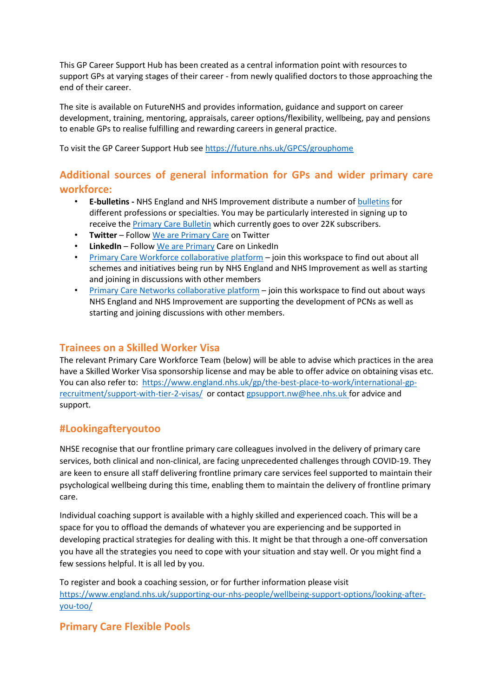This GP Career Support Hub has been created as a central information point with resources to support GPs at varying stages of their career - from newly qualified doctors to those approaching the end of their career.

The site is available on FutureNHS and provides information, guidance and support on career development, training, mentoring, appraisals, career options/flexibility, wellbeing, pay and pensions to enable GPs to realise fulfilling and rewarding careers in general practice.

To visit the GP Career Support Hub see <https://future.nhs.uk/GPCS/grouphome>

# **Additional sources of general information for GPs and wider primary care workforce:**

- **E-bulletins -** NHS England and NHS Improvement distribute a number of [bulletins](https://www.england.nhs.uk/email-bulletins/) for different professions or specialties. You may be particularly interested in signing up to receive the **Primary Care Bulletin** which currently goes to over 22K subscribers.
- **Twitter**  Follow [We are Primary Care](https://twitter.com/PrimaryCareNHS) on Twitter
- **LinkedIn**  Follow [We are Primary](https://www.linkedin.com/showcase/general-practice-forward-view/) Care on LinkedIn
- [Primary Care Workforce collaborative platform](https://future.nhs.uk/system/login?nextURL=%2Fconnect%2Eti%2Fprimarycareworkforce%2Fgrouphome) join this workspace to find out about all schemes and initiatives being run by NHS England and NHS Improvement as well as starting and joining in discussions with other members
- [Primary Care Networks collaborative platform](https://future.nhs.uk/system/login?nextURL=%2Fconnect%2Eti%2FP%5FC%5FN%2Fgrouphome) join this workspace to find out about ways NHS England and NHS Improvement are supporting the development of PCNs as well as starting and joining discussions with other members.

# **Trainees on a Skilled Worker Visa**

The relevant Primary Care Workforce Team (below) will be able to advise which practices in the area have a Skilled Worker Visa sponsorship license and may be able to offer advice on obtaining visas etc. You can also refer to: [https://www.england.nhs.uk/gp/the-best-place-to-work/international-gp](https://www.england.nhs.uk/gp/the-best-place-to-work/international-gp-recruitment/support-with-tier-2-visas/)[recruitment/support-with-tier-2-visas/](https://www.england.nhs.uk/gp/the-best-place-to-work/international-gp-recruitment/support-with-tier-2-visas/) or contact [gpsupport.nw@hee.nhs.uk](mailto:gpsupport.nw@hee.nhs.uk) for advice and support.

# **#Lookingafteryoutoo**

NHSE recognise that our frontline primary care colleagues involved in the delivery of primary care services, both clinical and non-clinical, are facing unprecedented challenges through COVID-19. They are keen to ensure all staff delivering frontline primary care services feel supported to maintain their psychological wellbeing during this time, enabling them to maintain the delivery of frontline primary care.

Individual coaching support is available with a highly skilled and experienced coach. This will be a space for you to offload the demands of whatever you are experiencing and be supported in developing practical strategies for dealing with this. It might be that through a one-off conversation you have all the strategies you need to cope with your situation and stay well. Or you might find a few sessions helpful. It is all led by you.

To register and book a coaching session, or for further information please visit [https://www.england.nhs.uk/supporting-our-nhs-people/wellbeing-support-options/looking-after](https://www.england.nhs.uk/supporting-our-nhs-people/wellbeing-support-options/looking-after-you-too/)[you-too/](https://www.england.nhs.uk/supporting-our-nhs-people/wellbeing-support-options/looking-after-you-too/)

# **Primary Care Flexible Pools**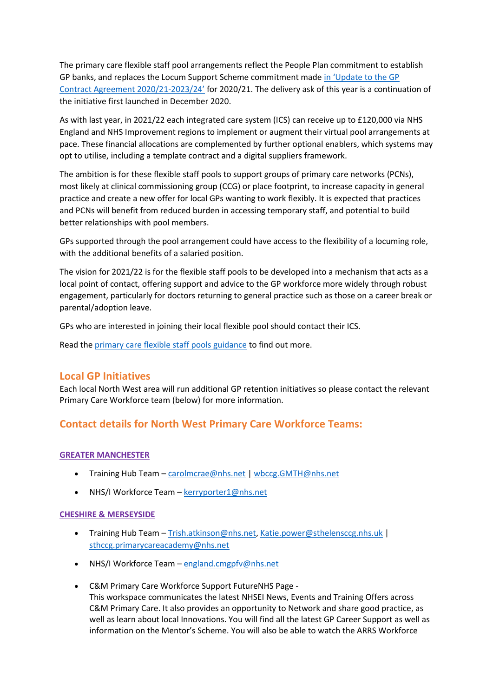The primary care flexible staff pool arrangements reflect the People Plan commitment to establish GP banks, and replaces the Locum Support Scheme commitment made [in 'Update to the GP](https://www.england.nhs.uk/wp-content/uploads/2020/03/update-to-the-gp-contract-agreement-v2-updated.pdf)  [Contract Agreement 2020/21-](https://www.england.nhs.uk/wp-content/uploads/2020/03/update-to-the-gp-contract-agreement-v2-updated.pdf)2023/24' for 2020/21. The delivery ask of this year is a continuation of the initiative first launched in December 2020.

As with last year, in 2021/22 each integrated care system (ICS) can receive up to £120,000 via NHS England and NHS Improvement regions to implement or augment their virtual pool arrangements at pace. These financial allocations are complemented by further optional enablers, which systems may opt to utilise, including a template contract and a digital suppliers framework.

The ambition is for these flexible staff pools to support groups of primary care networks (PCNs), most likely at clinical commissioning group (CCG) or place footprint, to increase capacity in general practice and create a new offer for local GPs wanting to work flexibly. It is expected that practices and PCNs will benefit from reduced burden in accessing temporary staff, and potential to build better relationships with pool members.

GPs supported through the pool arrangement could have access to the flexibility of a locuming role, with the additional benefits of a salaried position.

The vision for 2021/22 is for the flexible staff pools to be developed into a mechanism that acts as a local point of contact, offering support and advice to the GP workforce more widely through robust engagement, particularly for doctors returning to general practice such as those on a career break or parental/adoption leave.

GPs who are interested in joining their local flexible pool should contact their ICS.

Read th[e primary care flexible staff pools guidance](https://www.england.nhs.uk/publication/primary-care-flexible-staff-pools/) to find out more.

### **Local GP Initiatives**

Each local North West area will run additional GP retention initiatives so please contact the relevant Primary Care Workforce team (below) for more information.

# **Contact details for North West Primary Care Workforce Teams:**

#### **GREATER MANCHESTER**

- Training Hub Team [carolmcrae@nhs.net](mailto:carolmcrae@nhs.net) | wbccg.GMTH@nhs.net
- NHS/I Workforce Team [kerryporter1@nhs.net](mailto:kerryporter1@nhs.net)

#### **CHESHIRE & MERSEYSIDE**

- Training Hub Team [Trish.atkinson@nhs.net,](mailto:Trish.atkinson@nhs.net) [Katie.power@sthelensccg.nhs.uk](mailto:Katie.power@sthelensccg.nhs.uk) | [sthccg.primarycareacademy@nhs.net](mailto:sthccg.primarycareacademy@nhs.net)
- NHS/I Workforce Team [england.cmgpfv@nhs.net](mailto:england.cmgpfv@nhs.net)
- C&M Primary Care Workforce Support FutureNHS Page This workspace communicates the latest NHSEI News, Events and Training Offers across C&M Primary Care. It also provides an opportunity to Network and share good practice, as well as learn about local Innovations. You will find all the latest GP Career Support as well as information on the Mentor's Scheme. You will also be able to watch the ARRS Workforce